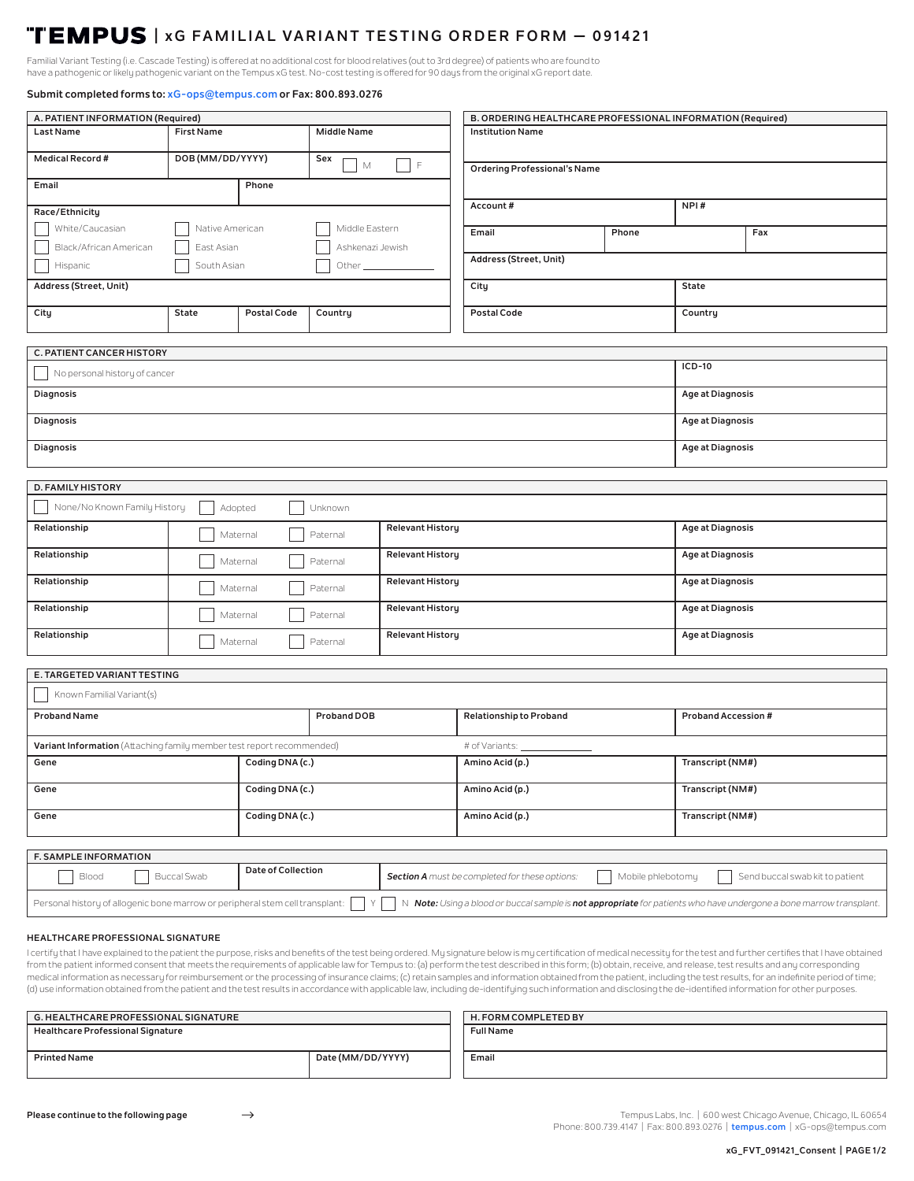# **| xG FAMILIAL VARIANT TESTING ORDER FORM — 091421**

Familial Variant Testing (i.e. Cascade Testing) is offered at no additional cost for blood relatives (out to 3rd degree) of patients who are found to have a pathogenic or likely pathogenic variant on the Tempus xG test. No-cost testing is offered for 90 days from the original xG report date.

# **Submit completed forms to: xG-ops@tempus.com or Fax: 800.893.0276**

| A. PATIENT INFORMATION (Required)                                                                                                                                                                         |                                                 |                                    |             | B. ORDERING HEALTHCARE PROFESSIONAL INFORMATION (Required)                                             |                                     |                         |                            |  |
|-----------------------------------------------------------------------------------------------------------------------------------------------------------------------------------------------------------|-------------------------------------------------|------------------------------------|-------------|--------------------------------------------------------------------------------------------------------|-------------------------------------|-------------------------|----------------------------|--|
| Last Name                                                                                                                                                                                                 | <b>First Name</b><br><b>Middle Name</b>         |                                    |             | <b>Institution Name</b>                                                                                |                                     |                         |                            |  |
| <b>Medical Record #</b>                                                                                                                                                                                   | DOB (MM/DD/YYYY)                                |                                    | Sex<br>М    | $\mathsf F$                                                                                            | <b>Ordering Professional's Name</b> |                         |                            |  |
| Phone<br>Email                                                                                                                                                                                            |                                                 |                                    |             |                                                                                                        |                                     |                         |                            |  |
| Race/Ethnicity                                                                                                                                                                                            |                                                 |                                    |             |                                                                                                        | Account#                            |                         | NPI#                       |  |
| White/Caucasian<br>Native American<br>Black/African American<br>East Asian                                                                                                                                |                                                 | Middle Eastern<br>Ashkenazi Jewish |             | Email                                                                                                  | Phone                               |                         | Fax                        |  |
| South Asian<br>Hispanic<br>Other <sub>______</sub>                                                                                                                                                        |                                                 |                                    |             | Address (Street, Unit)                                                                                 |                                     |                         |                            |  |
| Address (Street, Unit)                                                                                                                                                                                    |                                                 |                                    |             |                                                                                                        | <b>State</b><br>City                |                         |                            |  |
| City                                                                                                                                                                                                      | <b>State</b>                                    | <b>Postal Code</b><br>Country      |             |                                                                                                        | Postal Code                         |                         | Country                    |  |
|                                                                                                                                                                                                           |                                                 |                                    |             |                                                                                                        |                                     |                         |                            |  |
| C. PATIENT CANCER HISTORY                                                                                                                                                                                 |                                                 |                                    |             |                                                                                                        |                                     |                         |                            |  |
| No personal history of cancer                                                                                                                                                                             |                                                 |                                    |             |                                                                                                        |                                     |                         | ICD-10                     |  |
| <b>Diagnosis</b>                                                                                                                                                                                          |                                                 |                                    |             |                                                                                                        |                                     |                         | <b>Age at Diagnosis</b>    |  |
| <b>Diagnosis</b>                                                                                                                                                                                          |                                                 |                                    |             |                                                                                                        |                                     | <b>Age at Diagnosis</b> |                            |  |
| <b>Diagnosis</b>                                                                                                                                                                                          |                                                 |                                    |             |                                                                                                        |                                     | <b>Age at Diagnosis</b> |                            |  |
|                                                                                                                                                                                                           |                                                 |                                    |             |                                                                                                        |                                     |                         |                            |  |
| D. FAMILY HISTORY                                                                                                                                                                                         |                                                 |                                    |             |                                                                                                        |                                     |                         |                            |  |
| None/No Known Family History                                                                                                                                                                              |                                                 | Adopted                            | Unknown     |                                                                                                        |                                     |                         |                            |  |
| Relationship                                                                                                                                                                                              | <b>Relevant History</b><br>Paternal<br>Maternal |                                    |             |                                                                                                        |                                     | <b>Age at Diagnosis</b> |                            |  |
| Relationship                                                                                                                                                                                              | <b>Relevant History</b><br>Paternal<br>Maternal |                                    |             |                                                                                                        |                                     | <b>Age at Diagnosis</b> |                            |  |
| Relationship                                                                                                                                                                                              | <b>Relevant History</b><br>Paternal<br>Maternal |                                    |             |                                                                                                        |                                     | <b>Age at Diagnosis</b> |                            |  |
| Relationship                                                                                                                                                                                              | Paternal<br>Maternal                            |                                    |             | <b>Relevant History</b>                                                                                |                                     |                         | <b>Age at Diagnosis</b>    |  |
| Relationship                                                                                                                                                                                              | Maternal<br>Paternal                            |                                    |             | <b>Relevant History</b>                                                                                |                                     |                         | Age at Diagnosis           |  |
|                                                                                                                                                                                                           |                                                 |                                    |             |                                                                                                        |                                     |                         |                            |  |
| E. TARGETED VARIANT TESTING                                                                                                                                                                               |                                                 |                                    |             |                                                                                                        |                                     |                         |                            |  |
| Known Familial Variant(s)                                                                                                                                                                                 |                                                 |                                    |             |                                                                                                        |                                     |                         |                            |  |
| <b>Proband Name</b>                                                                                                                                                                                       |                                                 |                                    | Proband DOB |                                                                                                        | <b>Relationship to Proband</b>      |                         | <b>Proband Accession #</b> |  |
| Variant Information (Attaching family member test report recommended)                                                                                                                                     |                                                 |                                    |             |                                                                                                        | # of Variants: __                   |                         |                            |  |
| Gene<br>Coding DNA (c.)                                                                                                                                                                                   |                                                 |                                    |             |                                                                                                        | Amino Acid (p.)                     |                         | Transcript (NM#)           |  |
| Coding DNA (c.)<br>Gene                                                                                                                                                                                   |                                                 |                                    |             |                                                                                                        | Amino Acid (p.)                     |                         | Transcript (NM#)           |  |
| Coding DNA (c.)<br>Gene                                                                                                                                                                                   |                                                 |                                    |             |                                                                                                        | Amino Acid (p.)                     |                         | Transcript (NM#)           |  |
|                                                                                                                                                                                                           |                                                 |                                    |             |                                                                                                        |                                     |                         |                            |  |
| F. SAMPLE INFORMATION                                                                                                                                                                                     |                                                 |                                    |             |                                                                                                        |                                     |                         |                            |  |
| Date of Collection<br><b>Buccal Swab</b><br>Blood                                                                                                                                                         |                                                 |                                    |             | Mobile phlebotomy<br>Send buccal swab kit to patient<br>Section A must be completed for these options: |                                     |                         |                            |  |
| Personal history of allogenic bone marrow or peripheral stem cell transplant:<br>Y<br>N Note: Using a blood or buccal sample is not appropriate for patients who have undergone a bone marrow transplant. |                                                 |                                    |             |                                                                                                        |                                     |                         |                            |  |
|                                                                                                                                                                                                           |                                                 |                                    |             |                                                                                                        |                                     |                         |                            |  |

## **HEALTHCARE PROFESSIONAL SIGNATURE**

I certify that I have explained to the patient the purpose, risks and benefits of the test being ordered. My signature below is my certification of medical necessity for the test and further certifies that I have obtained from the patient informed consent that meets the requirements of applicable law for Tempus to: (a) perform the test described in this form; (b) obtain, receive, and release, test results and any corresponding medical information as necessary for reimbursement or the processing of insurance claims; (c) retain samples and information obtained from the patient, including the test results, for an indefinite period of time; (d) use information obtained from the patient and the test results in accordance with applicable law, including de-identifying such information and disclosing the de-identified information for other purposes.

| <b>G. HEALTHCARE PROFESSIONAL SIGNATURE</b> |                   | H. FORM COMPLETED BY |  |  |
|---------------------------------------------|-------------------|----------------------|--|--|
| <b>Healthcare Professional Signature</b>    |                   | <b>Full Name</b>     |  |  |
|                                             |                   |                      |  |  |
| <b>Printed Name</b>                         | Date (MM/DD/YYYY) | Email                |  |  |